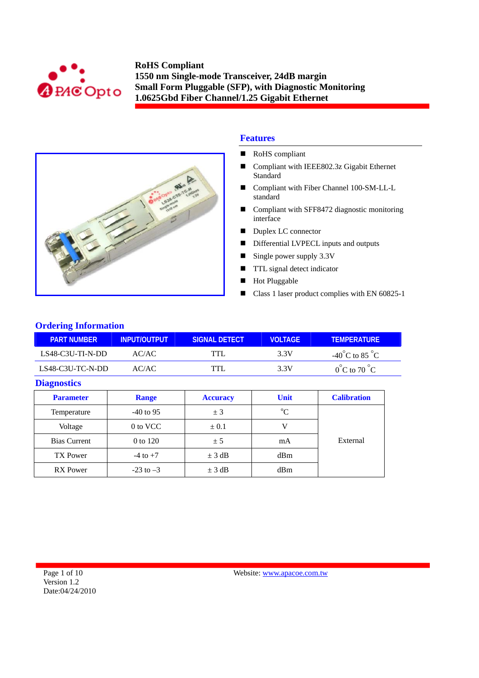



## **Features**

- RoHS compliant
- Compliant with IEEE802.3z Gigabit Ethernet **Standard**
- Compliant with Fiber Channel 100-SM-LL-L standard
- Compliant with SFF8472 diagnostic monitoring interface
- Duplex LC connector
- Differential LVPECL inputs and outputs
- Single power supply 3.3V
- **TTL** signal detect indicator
- **Hot Pluggable**
- Class 1 laser product complies with EN 60825-1

## **Ordering Information**

| <b>PART NUMBER</b> | INPUT/OUTPUT | SIGNAL DETECT | <b>VOLTAGE</b> | <b>TEMPERATURE</b>                 |
|--------------------|--------------|---------------|----------------|------------------------------------|
| $LS48-C3U-TI-N-DD$ | AC/AC        | TTL           | 3.3V           | $-40^{\circ}$ C to 85 $^{\circ}$ C |
| LS48-C3U-TC-N-DD   | AC/AC        |               | 3 3 V          | $0^{\circ}$ C to 70 $^{\circ}$ C   |

### **Diagnostics**

| <b>Parameter</b>    | <b>Range</b>  | <b>Accuracy</b> | <b>Unit</b> | <b>Calibration</b> |
|---------------------|---------------|-----------------|-------------|--------------------|
| Temperature         | $-40$ to 95   | ± 3             | $\rm ^{o}C$ |                    |
| Voltage             | 0 to VCC      | $\pm 0.1$       |             |                    |
| <b>Bias Current</b> | 0 to 120      | ± 5             | mA          | External           |
| <b>TX</b> Power     | $-4$ to $+7$  | $\pm$ 3 dB      | dBm         |                    |
| <b>RX</b> Power     | $-23$ to $-3$ | $\pm$ 3 dB      | dBm         |                    |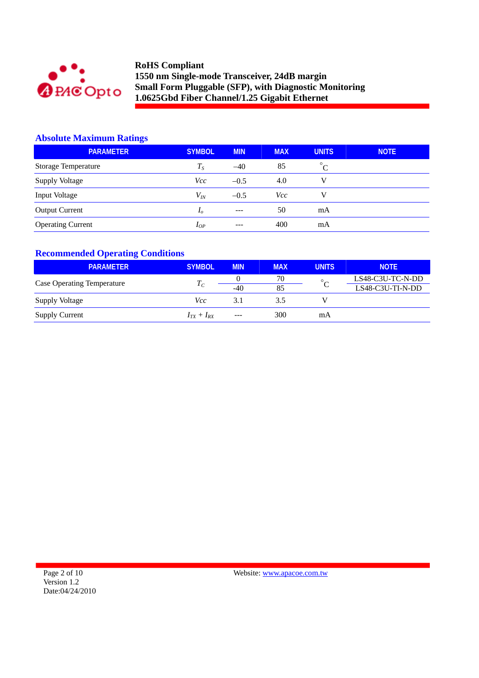

## **Absolute Maximum Ratings**

| <b>PARAMETER</b>         | <b>SYMBOL</b>  | <b>MIN</b> | <b>MAX</b> | <b>UNITS</b> | <b>NOTE</b> |
|--------------------------|----------------|------------|------------|--------------|-------------|
| Storage Temperature      | $T_S$          | $-40$      | 85         | $^{\circ}C$  |             |
| <b>Supply Voltage</b>    | Vcc            | $-0.5$     | 4.0        | V            |             |
| Input Voltage            | $V_{lN}$       | $-0.5$     | Vcc        | v            |             |
| <b>Output Current</b>    | I <sub>o</sub> | $---$      | 50         | mA           |             |
| <b>Operating Current</b> | $I_{OP}$       | ---        | 400        | mA           |             |

## **Recommended Operating Conditions**

| <b>PARAMETER</b>                  | <b>SYMBOL</b>   | <b>MIN</b> | <b>MAX</b> | <b>UNITS</b> | <b>NOTE</b>      |
|-----------------------------------|-----------------|------------|------------|--------------|------------------|
| <b>Case Operating Temperature</b> |                 |            | 70         | $\circ$      | LS48-C3U-TC-N-DD |
|                                   | $I_C$           | $-40$      | 85         |              | LS48-C3U-TI-N-DD |
| Supply Voltage                    | Vcc             | 3.1        | 3.5        |              |                  |
| <b>Supply Current</b>             | $I_{TX}+I_{RX}$ | ---        | 300        | mA           |                  |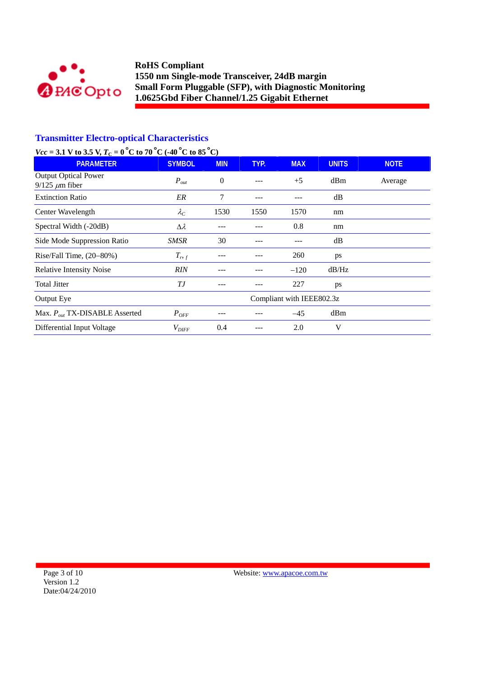

# **Transmitter Electro-optical Characteristics**

# *Vcc* = 3.1 V to 3.5 V,  $T_c = 0^\circ$ C to 70 °C (-40 °C to 85 °C)

| <b>PARAMETER</b>                                     | <b>SYMBOL</b>     | <b>MIN</b> | TYP. | <b>MAX</b>                | <b>UNITS</b> | <b>NOTE</b> |
|------------------------------------------------------|-------------------|------------|------|---------------------------|--------------|-------------|
| <b>Output Optical Power</b><br>$9/125 \ \mu m$ fiber | $P_{out}$         | $\theta$   | ---  | $+5$                      | dBm          | Average     |
| <b>Extinction Ratio</b>                              | ER                | 7          | ---  |                           | dB           |             |
| Center Wavelength                                    | $\lambda_C$       | 1530       | 1550 | 1570                      | nm           |             |
| Spectral Width (-20dB)                               | $\Delta \lambda$  | ---        |      | 0.8                       | nm           |             |
| Side Mode Suppression Ratio                          | SMSR              | 30         |      |                           | dB           |             |
| Rise/Fall Time, $(20-80%)$                           | $T_{r,f}$         |            |      | 260                       | ps           |             |
| <b>Relative Intensity Noise</b>                      | <b>RIN</b>        |            |      | $-120$                    | dB/Hz        |             |
| <b>Total Jitter</b>                                  | ТJ                |            |      | 227                       | ps           |             |
| Output Eye                                           |                   |            |      | Compliant with IEEE802.3z |              |             |
| Max. $P_{out}$ TX-DISABLE Asserted                   | $P_{OFF}$         |            |      | $-45$                     | dBm          |             |
| Differential Input Voltage                           | $V_{\text{DIFF}}$ | 0.4        |      | 2.0                       | V            |             |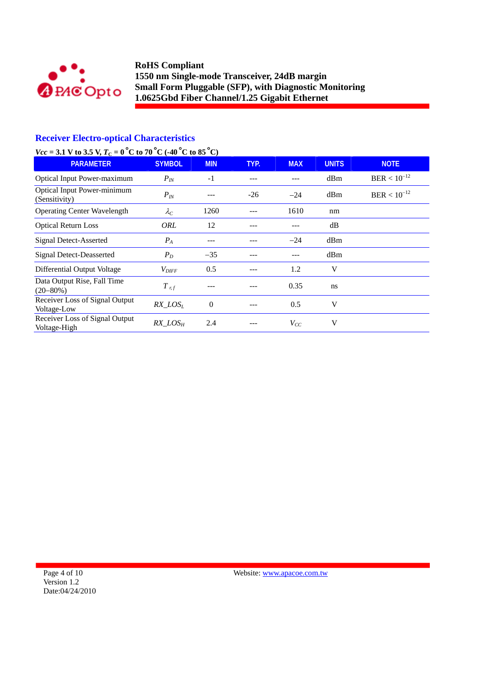

## **Receiver Electro-optical Characteristics**

# *Vcc* = 3.1 V to 3.5 V,  $T_c = 0^\circ$ C to 70 °C (-40 °C to 85 °C)

| <b>PARAMETER</b>                                    | <b>SYMBOL</b>     | <b>MIN</b> | TYP.  | <b>MAX</b> | <b>UNITS</b> | <b>NOTE</b>      |
|-----------------------------------------------------|-------------------|------------|-------|------------|--------------|------------------|
| <b>Optical Input Power-maximum</b>                  | $P_{IN}$          | $-1$       |       |            | dBm          | $BER < 10^{-12}$ |
| <b>Optical Input Power-minimum</b><br>(Sensitivity) | $P_{IN}$          |            | $-26$ | $-24$      | dBm          | $BER < 10^{-12}$ |
| <b>Operating Center Wavelength</b>                  | $\lambda_C$       | 1260       |       | 1610       | nm           |                  |
| <b>Optical Return Loss</b>                          | ORL               | 12         |       |            | dB           |                  |
| Signal Detect-Asserted                              | $P_A$             | ---        |       | $-24$      | dBm          |                  |
| <b>Signal Detect-Deasserted</b>                     | $P_D$             | $-35$      |       |            | dBm          |                  |
| Differential Output Voltage                         | $V_{\text{DIFF}}$ | 0.5        | ---   | 1.2        | V            |                  |
| Data Output Rise, Fall Time<br>$(20 - 80\%)$        | $T$ r, f          |            |       | 0.35       | ns           |                  |
| Receiver Loss of Signal Output<br>Voltage-Low       | $RX$ $LOS_L$      | $\theta$   |       | 0.5        | V            |                  |
| Receiver Loss of Signal Output<br>Voltage-High      | $RX\_LOS_H$       | 2.4        |       | $V_{CC}$   | V            |                  |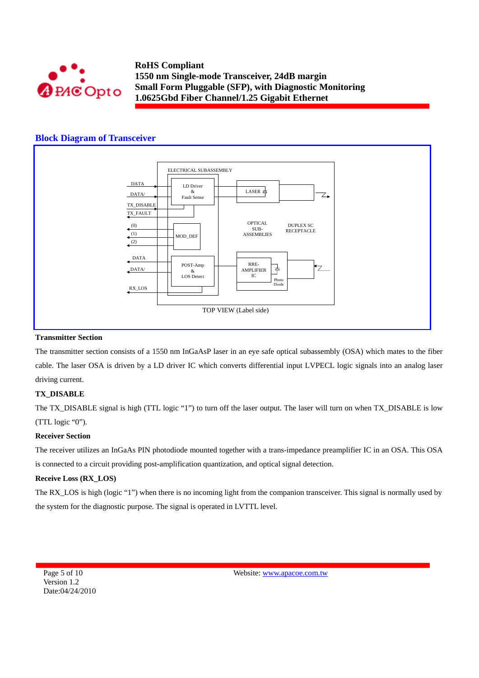

### **Block Diagram of Transceiver**



#### **Transmitter Section**

The transmitter section consists of a 1550 nm InGaAsP laser in an eye safe optical subassembly (OSA) which mates to the fiber cable. The laser OSA is driven by a LD driver IC which converts differential input LVPECL logic signals into an analog laser driving current.

#### **TX\_DISABLE**

The TX\_DISABLE signal is high (TTL logic "1") to turn off the laser output. The laser will turn on when TX\_DISABLE is low (TTL logic "0").

#### **Receiver Section**

The receiver utilizes an InGaAs PIN photodiode mounted together with a trans-impedance preamplifier IC in an OSA. This OSA is connected to a circuit providing post-amplification quantization, and optical signal detection.

#### **Receive Loss (RX\_LOS)**

The RX\_LOS is high (logic "1") when there is no incoming light from the companion transceiver. This signal is normally used by the system for the diagnostic purpose. The signal is operated in LVTTL level.

Page 5 of 10 Version 1.2 Date:04/24/2010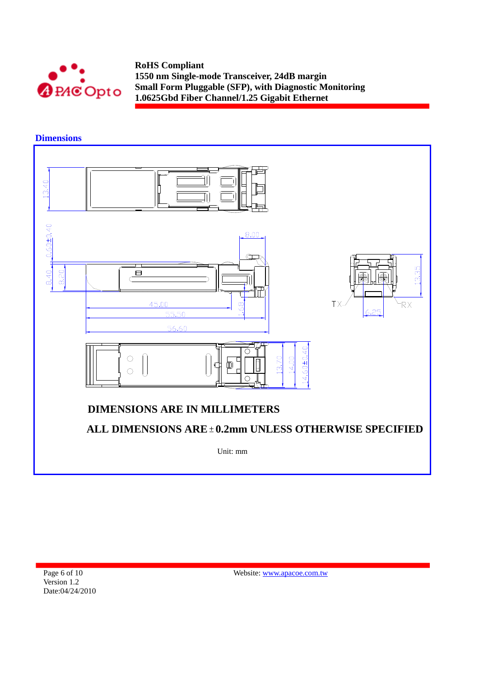

**Dimensions** 

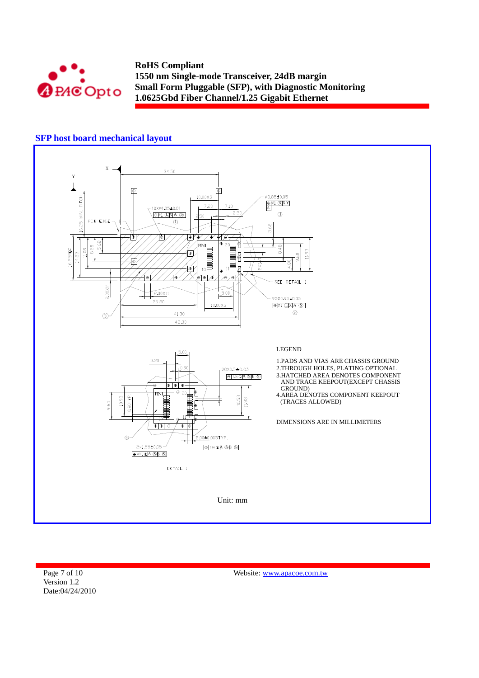

### **SFP host board mechanical layout**



Page 7 of 10 Version 1.2 Date:04/24/2010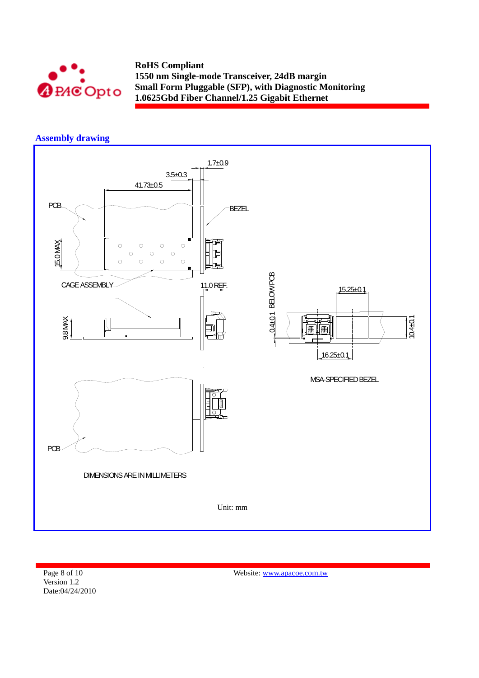

# **Assembly drawing**



Page 8 of 10 Version 1.2 Date:04/24/2010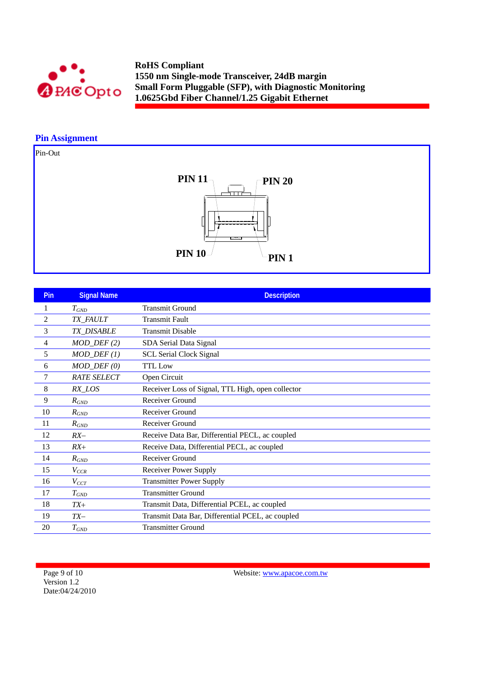

## **Pin Assignment**

Pin-Out



| <b>Pin</b>     | <b>Signal Name</b>      | <b>Description</b>                                |
|----------------|-------------------------|---------------------------------------------------|
| 1              | $T_{GND}$               | <b>Transmit Ground</b>                            |
| $\overline{c}$ | TX_FAULT                | <b>Transmit Fault</b>                             |
| 3              | <b>TX DISABLE</b>       | <b>Transmit Disable</b>                           |
| 4              | $MOD_$ DEF(2)           | SDA Serial Data Signal                            |
| 5              | $MOD_$ <i>DEF</i> $(1)$ | <b>SCL Serial Clock Signal</b>                    |
| 6              | $MOD_$ <i>DEF</i> $(0)$ | <b>TTL Low</b>                                    |
| $\tau$         | <b>RATE SELECT</b>      | Open Circuit                                      |
| 8              | RX_LOS                  | Receiver Loss of Signal, TTL High, open collector |
| 9              | $R_{GND}$               | Receiver Ground                                   |
| 10             | $R_{GND}$               | Receiver Ground                                   |
| 11             | $R_{GND}$               | Receiver Ground                                   |
| 12             | $RX-$                   | Receive Data Bar, Differential PECL, ac coupled   |
| 13             | $RX+$                   | Receive Data, Differential PECL, ac coupled       |
| 14             | $R_{GND}$               | <b>Receiver Ground</b>                            |
| 15             | $V_{CCR}$               | <b>Receiver Power Supply</b>                      |
| 16             | $V_{CCT}$               | <b>Transmitter Power Supply</b>                   |
| 17             | $T_{GND}$               | <b>Transmitter Ground</b>                         |
| 18             | $TX+$                   | Transmit Data, Differential PCEL, ac coupled      |
| 19             | $TX-$                   | Transmit Data Bar, Differential PCEL, ac coupled  |
| 20             | $T_{GND}$               | <b>Transmitter Ground</b>                         |

Page 9 of 10 Version 1.2 Date:04/24/2010